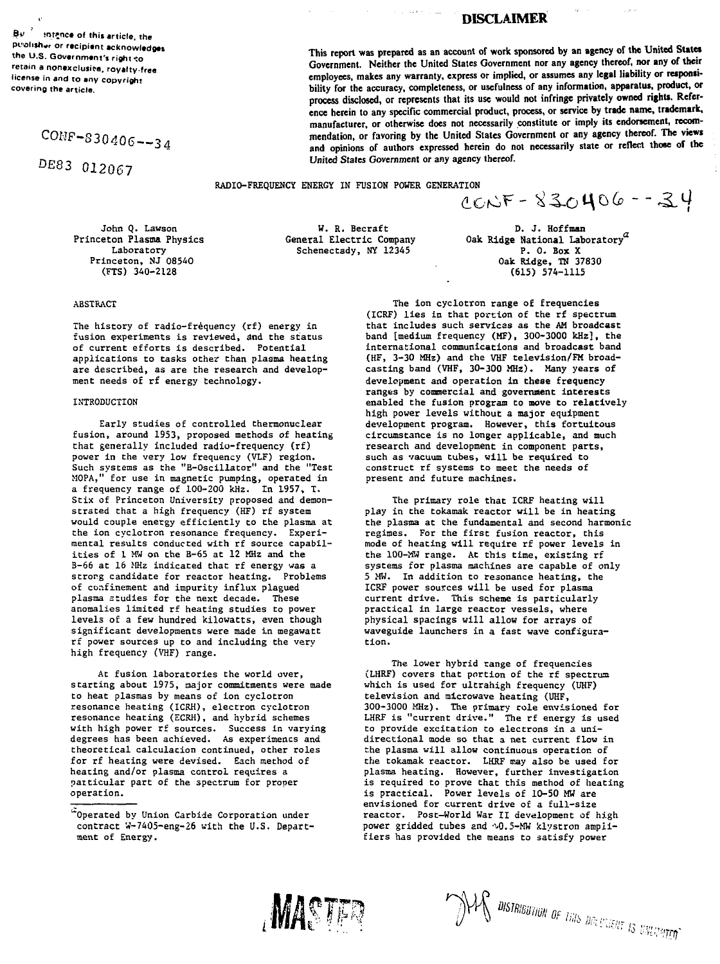$Bv^{-3}$  sntance of this article, the **puahsh.r or recipient acknowledges the U.S. Government's right-:o retain a nonexclusive, royalty-free license in and to any copyright covering the article.**

CONF-S30406—34

DE83 012067

**This report was prepared as an account of work sponsored by an agency of the United Sutet Government. Neither the United States Government nor any agency thereof, nor any of their** employees, makes any warranty, express or implied, or assumes any legal liability or reaponsi**bility for the accuracy, completeness, or usefulness of any information, apparatus, product, or process disclosed, or represents that its use would not infringe privately owned rights. Reference herein to any specific commercial product, process, or service by trade name, trademark, manufacturer, or otherwise does not necessarily constitute or imply its endorsement, recommendation, or favoring by the United States Government or any agency thereof. The views and opinions of authors expressed herein do not necessarily state or reflect those of the United States Government or any agency thereof.**

RADIO-FREQUENCY ENERGY IN FUSION POWER GENERATION<br> $CCNF - 8300406 - 320$ 

W. R. Becraft General Electric Company Schenectady, NY 12345

D. J. Hoffman Oak Ridge National Laboratory $^a$ P. 0. Box X Oak Ridge, TN 37830 (615) 574-1115

John Q. Lawson Princeton Plasma Physics Laboratory Princeton, NJ 08540 (FTS) 340-2128

# ABSTRACT

The history of radio-frequency (rf) energy in fusion experiments is reviewed, and the status of current efforts is described. Potential applications to tasks other than plasma heating are described, as are the research and development needs of rf energy technology.

# INTRODUCTION

Early studies of controlled thermonuclear fusion, around 1953, proposed methods of heating that generally included radio-frequency (rf) power in the very low frequency (VLF) region. Such systems as the "B-Oscillator" and the "Test MOPA," for use in magnetic pumping, operated in a frequency range of 100-200 kHz. In 1957, T. Stix of Princeton University proposed and demonstrated that a high frequency (HF) rf system would couple energy efficiently to the plasma at the ion cyclotron resonance frequency. Experimental results conducted with rf source capabilities of 1 MH on the B-65 at 12 MHz and the B-66 at 16 MHz indicated that rf energy was a strorg candidate for reactor heating. Problems of confinement and impurity influx plagued plasma studies for the next decade. These anomalies limited rf heating studies to power levels of a few hundred kilowatts, even though significant developments were made in megawatt rf power sources up to and including the very high frequency (VHF) range.

At fusion laboratories the world over, starting about 1975, major commitments were made to heat plasmas by means of ion cyclotron resonance heating (ICRH), electron cyclotron resonance heating (ECRH), and hybrid schemes with high power rf sources. Success in varying degrees has been achieved. As experiments and theoretical calculation continued, other roles for rf heating were devised. Each method of heating and/or plasma control requires a particular part of the spectrum for proper operation.

The ion cyclotron range of frequencies (ICRF) lies in that portion of the rf spectrum that includes such services as the AM broadcast band [medium frequency (MF), 300-3000 kHz], the international communications and broadcast band (HF, 3-30 MHz) and the VHF television/FM broadcasting band (VHF, 30-300 MHz). Many years of development and operation in these frequency ranges by commercial and government interests enabled the fusion program to move to relatively high power levels without a major equipment development program. However, this fortuitous circumstance is no longer applicable, and much research and development in component parts, such as vacuum tubes, will be required to construct rf systems to meet the needs of present and future machines.

The primary role that ICRF heating will play in the tokamak reactor will be in heating the plasma at Che fundamental and second harmonic regimes. For the first fusion reactor, this mode of heating will require rf power levels in the 100-MW range. At this time, existing rf systems for plasma machines are capable of only 5 MW. In addition to resonance heating, the ICRF power sources will be used for plasma current drive. This scheme is particularly practical in large reactor vessels, where physical spacings will allow for arrays of waveguide launchers in a fast wave configuration.

The lower hybrid range of frequencies (LHRF) covers that portion of the rf spectrum which is used for ultrahigh frequency (UHF) television and microwave heating (UHF, 300-3000 MHz). The primary role envisioned for LHRF is "current drive." The rf energy is used to provide excitation Co electrons in a unidirectional mode so that a net current flow in the plasma will allow continuous operation of the tokamak reactor. LHRF may also be used for plasma heating. However, further investigation is required to prove that this method of heating is practical. Power levels of 10-50 MW are envisioned Eor current drive of a full-size reactor. Post-World War II development of high power gridded tubes and  $\sqrt{0.5}$ -MW klystron amplifiers has provided the means to satisfy power





# **DISCLAIMER**

 $\omega$  . For the  $\omega$  -  $\omega$ 

 $\mathring{a}$ Operated by Union Carbide Corporation under contract W-7405-eng-26 with the U.S. Department of Energy.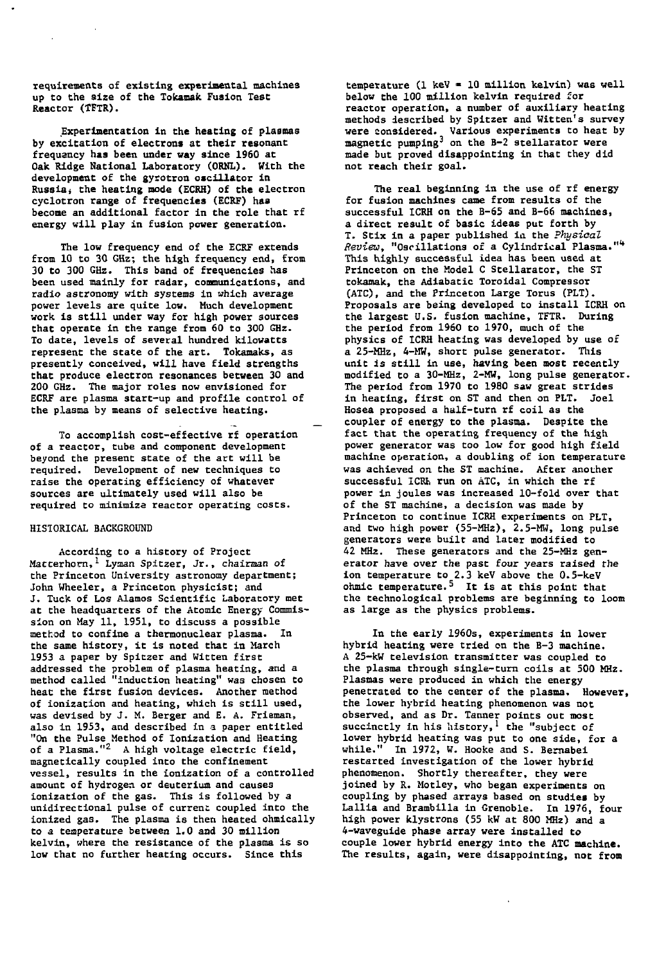**requirements of existing experimental machines up to the size of the Tokamak Fusion Test Reactor (TFTR).**

**Experimentation in the heating of plasmas by excitation of electrons at their resonant frequency has been under way since 1960 at Oak Ridge National Laboratory (ORNL). With the development of the gyrotron oscillator in Russiaj the heating mode (ECRH) of the electron cyclotron range of frequencies (ECRF) has become an additional factor in the role that rf energy will play in fusion power generation.**

**The low frequency end of the ECRF extends from 10 to 30 GHz; the high frequency end, from 30 to 300 GHz. This band of frequencies has been used mainly for radar, communications, and radio astronomy with systems in which average power levels are quite low. Much development work is still under way for high power sources that operate in the range from 60 to 300 GHz. To date, levels of several hundred kilowatts represent the state of the art. Tokamaks, as presently conceived, will have field strengths that produce electron resonances between 30 and 200 GHz. The major roles now envisioned for ECRF are plasma start-up and profile control of the plasma by means of selective heating.**

**To accomplish cost-effective rf operation of a reactor, tube and component development beyond the present state of the art will be required. Development of new techniques to raise the operating efficiency of whatever sources are ultimately used will also be required to minimize reactor operating costs.**

## **HISTORICAL BACKGROUND**

**According to a history of Project Matterhorn,' Lyman Spitzer, Jr., chairman of the Princeton University astronomy department; John Wheeler, a Princeton physicist; and J. Tuck of Los Alamos Scientific Laboratory met at the headquarters of the Atomic Energy Commission on May 11, 1951, to discuss a possible method to confine a thermonuclear plasma. In the same history, it is noted that in March 1953 a paper by Spitzer and Witten first addressed the problem of plasma heating, and a method called "induction heating" was chosen to heat the first fusion devices. Another method of ionization and heating, which is still used, was devised by J. M. Berger and E. A. Frieman, also in 1953, and described in a paper entitled "On the Pulse Method of Ionization and Heating of a Plasma."<sup>2</sup> A high voltage electric field, magnetically coupled into the confinement vessel, results in the ionization of a controlled amount of hydrogen or deuterium and causes ionization of the gas. This is followed by a unidirectional pulse of current coupled into the ionized gas. The plasma is then heated ohmically to a temperature between 1.0 and 30 million kelvin, where the resistance of the plasma is so low that no further heating occurs. Since this**

**temperature (1 keV » 10 million kelvin) was well below the 100 million kelvin required for reactor operation, a number of auxiliary heating methods described by Spitzer and Witten's survey were considered. Various experiments to heat by magnetic pumping<sup>3</sup> on the B-2 stellarator were made but proved disappointing in that they did not reach their goal.**

**The real beginning in the use of rf energy for fusion machines came from results of the successful ICRH on the B-65 and B-66 machines, a direct result of basic ideas put forth by T. Stix in a paper published in the Physical Review, "Oscillations of a Cylindrical Plasma."<sup>1</sup>\* This highly successful idea has been used at Princeton on the Model C Stellarator, the ST tokamak, the Adiabatic Toroidal Compressor (ATC), and the Princeton Large Torus (PLT). Proposals are being developed to install ICRH on the largest U.S. fusion machine, TFTR. During the period from 1960 to 1970, much of the physics of ICRH heating was developed by use of a 25-MHz, 4-MW, short pulse generator. This unit is still in use, having been most recently modified to a 30-MHz, 2-MW, long pulse generator. The period from 1970 to 1980 saw great strides in heating, first on ST and then on PLT. Joel Hosea proposed a half-turn rf coil as the coupler of energy to the plasma. Despite the fact that the operating frequency of the high power generator was too low for good high field machine operation, a doubling of ion temperature was achieved on the ST machine. After another successful ICRK run on ATC, in which the rf power in joules was increased 10-fold over that of the ST machine, a decision was made by Princeton to continue ICRH experiments on FLT, and two high power (55-MHz), 2.5-MW, long pulse generators were built and later modified to 42 MHz. These generators and the 25-MHz generator have over the past four years raised the i** about the past four years raised the temperature to 2.3 keV above the 0.5-keV ohmic temperature.<sup>5</sup> It is at this point that the technological problems are beginning to loom<br>as large as the physics problems.

**In the early 1960s, experiments in lower hybrid heating were tried on the B-3 machine. A 25-kW television transmitter was coupled to the plasma through single-turn coils at 500 MHz. Plasmas were produced in which the energy penetrated to the center of the plasma. However, the lower hybrid heating phenomenon was not observed, and as Dr. Tanner points out most succinctly in his history,<sup>1</sup> the "subject of lower hybrid heating was put to one side, for a while." In 1972, W. Hooke and S. Bemabei restarted investigation of the lower hybrid phenomenon. Shortly thereafter, they were joined by R. Motley, who began experiments on coupling by phased arrays based on studiea by Lallia and Brambilla in Grenoble. In 1976, four high power klystrons (55 kW at 800 MHz) and a 4-waveguide phase array were installed to couple lower hybrid energy into the ATC machine. The results, again, were disappointing, not from**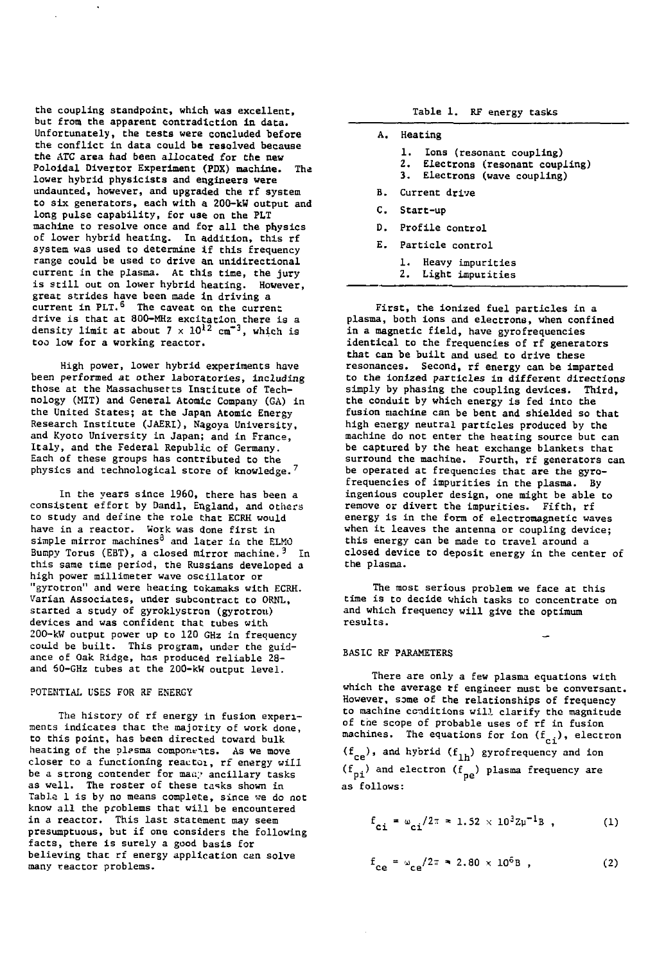the coupling standpoint, which was excellent, but from the apparent contradiction in data. Unfortunately, the tests were concluded before the conflict in data could be resolved because the ATC area had been allocated for the new Foloidal Divertor Experiment (PDX) machine. The lower hybrid physicists and engineers were undaunted, however, and upgraded Che rf system to six generators, each with a 200-kW output and long pulse capability, for use on the PLT machine to resolve once and for all the physics of lower hybrid heacing. In addition, this rf system was used to determine if this frequency range could be used to drive an unidireccional current in the plasma. At this time, the jury is still out on lower hybrid heating. However, great strides have been made in driving a current in PLT.<sup>6</sup> The caveat on the current drive is that at 800-MHz excitation there is a density limit at about  $7 \times 10^{12}$  cm<sup>+3</sup>, which is too low for a working reaccor.

High power, lower hybrid experiments have been performed at other laboratories, including those at the Massachusetts Institute of Technology (MIT) and General Atomic Company (GA) in the United States; at the Japan Atomic Energy Research Institute (JAERI), Nagoya University, and Kyoto University in Japan; and in France, Italy, and the Federal Republic of Germany. Each of these groups has contributed to the physics and technological store of knowledge.<sup>7</sup>

In the years since 1960, there has been a consistent effort by Dandl, England, and others Co study and define the role Chat ECRH would have in a reactor. Work was done first in simple mirror machines<sup>8</sup> and later in the ELMO Bumpy Torus (EBT), a closed mirror machine.  $3$  In this same time period, the Russians developed a high power millimeter wave oscillator or "gyrotron" and were heacing tokamaks with ECRH. Varian Associates, under subcontract to ORNL, started a study of gyroklystron (gyrotrou) devices and was confident that tubes with 200-kW output power up to 120 GHz in frequency could be built. This program, under the guidance of Oak Ridge, has produced reliable 28 and 60-GHz cubes at the 200-kW output level.

### POTENTIAL USES FOR RF ENERGY

The history of rf energy in fusion experiments indicates that the majority of work done, to this point, has been directed toward bulk heating of the plasma components. As we move closer to a functioning reactor, rf energy will be a strong contender for many ancillary tasks as well. The roster of these tasks shown in Table 1 is by no means complete, since we do noc know all the problems that will be encountered in a reactor. This last statement may seem presumptuous, but if one considers the following facts, there is surely a good basis for believing thac rf energy applicacion can solve many reactor problems.

Table 1. RF energy tasks

- A. Heacing
	- 1. Ions (resonant coupling)<br>2. Electrons (resonant coupl
	- Electrons (resonant coupling)
	- 3. Electrons (wave coupling)
- B. Current drive
- $C_{\pm}$ Start-up
- D. Profile control
- E. Particle control
	- 1. Heavy impurities
	- 2. Light impurities

First, the ionized fuel particles in a plasma, both ions and eleccrons, when confined in a magnetic field, have gyrofrequencies identical to the frequencies of rf generators that can be built and used to drive these resonances. Second, rf energy can be imparted to the ionized particles in different directions simply by phasing the coupling devices. Third, the conduit by which energy is fed into the fusion machine can be bent and shielded so that high energy neutral particles produced by the machine do not enter the heating source but can be captured by the heat exchange blankets that surround the machine. Fourth, rf generators can be operated at frequencies that are the gyrofrequencies of impurities in the plasma. By ingenious coupler design, one might be able to remove or divert the impurities. Fifth, rf energy is in the form of electromagnetic waves when it leaves the antenna or coupling device; this energy can be made to travel around a closed device to deposit energy in Che center of the plasma.

The most serious problem we face at this time is to decide which tasks to concentrate on and which frequency will give the optimum results.

#### BASIC RF PARAMETERS

There are only a few plasma equations with which the average rf engineer must be conversant. However, some of the relationships of frequency to machine conditions will clarify the magnitude of the scope of probable uses of rf in fusion machines. The equations for ion  $(f_{c_i})$ , electron  $(f_{ce})$ , and hybrid  $(f_{1h})$  gyrofrequency and ion  $(f_{pi})$  and electron  $(f_{pe})$  plasma frequency are as follows:

$$
f_{\text{ci}} = \omega_{\text{ci}} / 2\pi = 1.52 \times 10^3 Z \mu^{-1} B \tag{1}
$$

 $f_{ce} = \omega_{ce}/2\pi$  = 2.80 x 10<sup>6</sup>B, (2)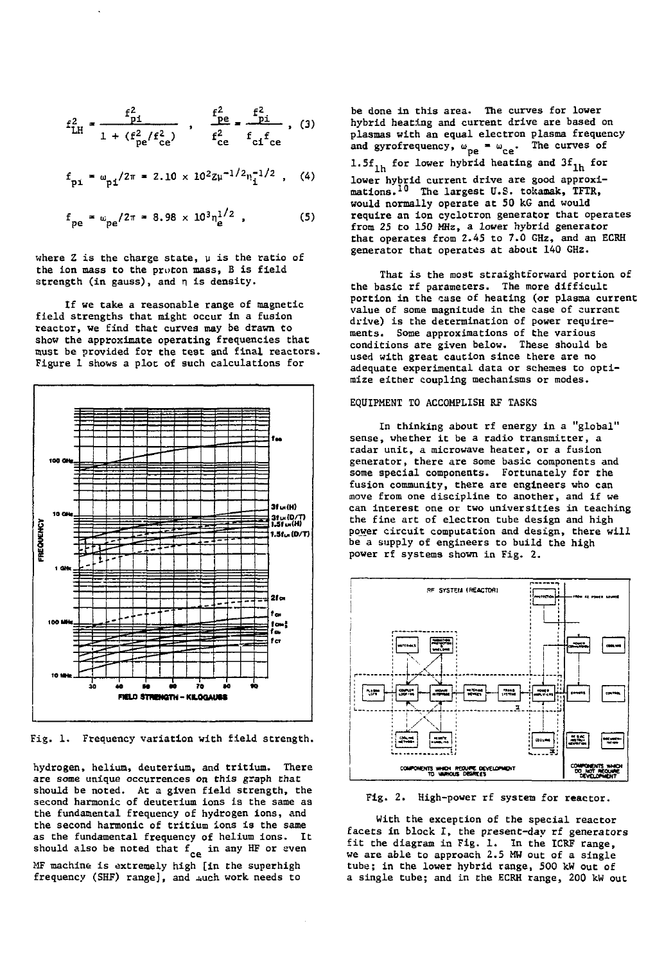$$
f_{\text{LH}}^2 = \frac{f_{\text{pl}}^2}{1 + (f_{\text{pe}}^2/f_{\text{ce}}^2)}, \quad \frac{f_{\text{pe}}^2}{f_{\text{ce}}^2} = \frac{f_{\text{pl}}^2}{f_{\text{cf}}f_{\text{ce}}}, \quad (3)
$$

$$
f_{\text{pi}} = \omega_{\text{pi}}/2\pi = 2.10 \times 10^2 Z \mu^{-1/2} n_{\text{i}}^{-1/2}
$$
, (4)

$$
f_{pe} = \omega_{pe}/2\pi = 8.98 \times 10^3 n_e^{1/2} \tag{5}
$$

where Z is the charge state,  $\mu$  is the ratio of the ion mass to the proton mass, B is field strength (in gauss), and n is density.

If we take a reasonable range of magnetic field strengths that might occur in a fusion reactor, we find that curves may be drawn to show the approximate operating frequencies that must be provided for the test and final reactors. Figure 1 shows a plot of such calculations for



Fig. 1. Frequency variation with field strength.

hydrogen, helium, deuterium, and tritium. There are some unique occurrences on this graph that should be noted. At a given field strength, the second harmonic of deuterium ions is the same as the fundamental frequency of hydrogen ions, and the second harmonic of tritium ions is the same as the fundamental frequency of helium ions. It should also be noted that  $f_{ca}$  in any HF or even MF machine is extremely high [in the superhigh Ar machine is extremely high (in the superhight)<br>frequency (SHF) range], and  $\mu$ uch work needs to

be done in this area. The curves for lower hybrid heating and current drive are based on plasmas with an equal electron plasma frequency and gyrofrequency,  $\omega_{pe} = \omega_{ce}$ . The curves of 1.5 $f_{1h}$  for lower hybrid heating and 3 $f_{1h}$  for lower hybrid current drive are good approximations.<sup>10</sup> The largest U.S. tokamak, TFTR, would normally operate at 50 kG and would require an ion cyclotron generator that operates from 25 to 150 MHz, a lower hybrid generator that operates from 2.45 to 7.0 GHz, and an ECEH generator that operates at about 140 GHz.

That is the most straightforward portion of the basic rf parameters. The more difficult portion in the case of heating (or plasma current value of some magnitude in the case of current drive) is the determination of power requirements. Some approximations of the various conditions are given below. These should be used with great caution since there are no adequate experimental data or schemes to optimize either coupling mechanisms or modes.

## EQUIPMENT TO ACCOMPLISH RF TASKS

In thinking about rf energy in a "global" sense, whether it be a radio transmitter, a radar unit, a microwave heater, or a fusion generator, there are some basic components and some special components. Fortunately for the fusion community, there are engineers who can move from one discipline to another, and if we can interest one or two universities in teaching the fine art of electron tube design and high power circuit computation and design, there will be a supply of engineers to build the high power rf systems shown in Fig. 2.



Fig. 2. High-power rf system for reactor.

With the exception of the special reactor facets in block I, the present-day rf generators fit the diagram in Fig. 1. In the ICRF range, we are able to approach 2.5 MW out of a single tube; in the lower hybrid range, 500 kW out of a single tube; and in the ECRH range, 200 kW out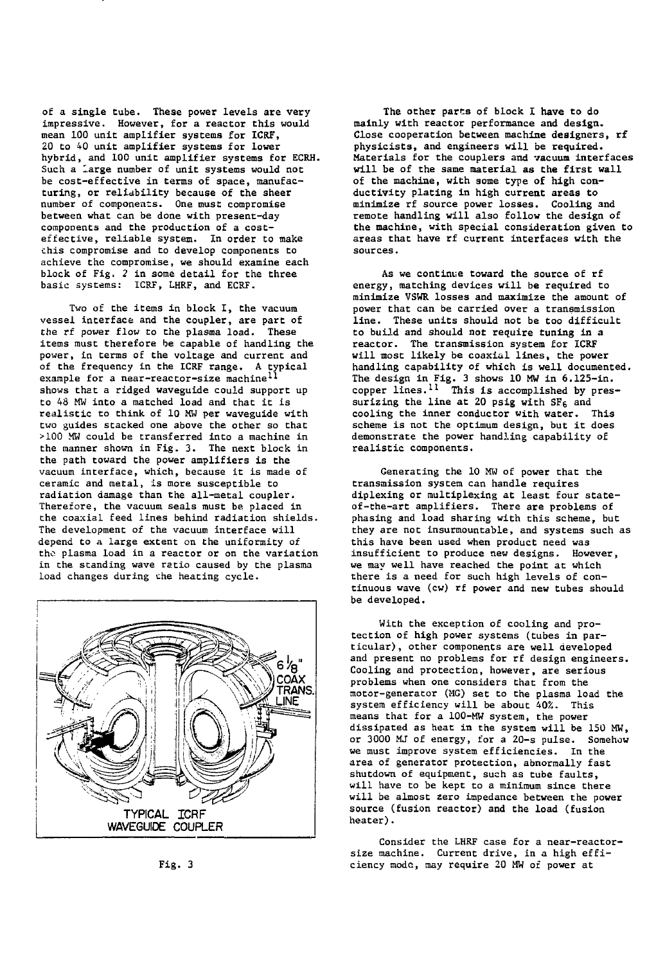of a single tube. These power levels are very impressive. However, for a reactor this would mean 100 unit amplifier systems for ICRF, 20 to 40 unit amplifier systems for lower hybrid, and 100 unit amplifier systems for ECRH. Such a large number of unit systems would not be cost-effective in terms of space, manufacturing, or reliability because of the sheer number of components. One must compromise between what can be done with present-day components and the production of a costeffective, reliable system. In order to make chis compromise and to develop components to achieve the compromise, we should examine each block of Fig. 2 in some detail for the three basic systems: ICRF, LHRF, and ECRF.

Two of the items in block I, the vacuum vessel interface and the coupler, are part of the rf power flow to the plasma load. These items must therefore be capable of handling the power, in terms of the voltage and current and of the frequency in the ICRF range. A typical<br>example for a near-reactor-size machine<sup>ll</sup> shows that a ridged waveguide could support up to 48 MW into a matched load and that it is realistic to think of 10 MW per waveguide with two guides stacked one above the other so that >100 MW could be transferred into a machine in the manner shown in Fig. 3. The next block in the path toward the power amplifiers is the vacuum interface, which, because it is made of ceramic and metal, is more susceptible to radiation damage than the all-metal coupler. Therefore, the vacuum seals must be placed in the coaxial feed lines behind radiation shields. The development of the vacuum interface will depend to a large extent on the uniformity of the plasma load in a reactor or on the variation in the standing wave ratio caused by the plasma load changes during che heating cycle.



Fig. 3

The other parts of block I have to do mainly with reactor performance and design. Close cooperation between machine designers, rf physicists, and engineers will be required. Materials for the couplers and vacuum interfaces will be of the same material as the first wall of the machine, with some type of high conductivity plating in high current areas to minimize rf source power losses. Cooling and remote handling will also follow the design of the machine, with special consideration given to areas that have rf current interfaces with the sources.

As we continue toward the source of rf energy, matching devices will be required to minimize VSWR losses and maximize the amount of power that can be carried over a transmission line. These units should not be too difficult to build and should not require tuning in a reactor. The transmission system for ICRF will most likely be coaxial lines, the power handling capability of which is well documented. The design in Fig. 3 shows 10 MW in 6.125-in. copper lines.<sup>11</sup> This is accomplished by pressurizing the line at 20 psig with  $SF<sub>6</sub>$  and cooling the inner conductor with water. This scheme is not the optimum design, but it does demonstrate the power handling capability of realistic components.

Generating the 10 MW of power that the transmission system can handle requires diplexing or multiplexing at least four stateof-the-art amplifiers. There are problems of phasing and load sharing with this scheme, but they are not insurmountable, and systems such as this have been used when product need was insufficient to produce new designs. However, we may well have reached the point at which there is a need for such high levels of continuous wave (cw) rf power and new tubes should be developed.

With the exception of cooling and protection of high power systems (tubes in particular) , other components are well developed and present no problems for rf design engineers. Cooling and protection, however, are serious problems when one considers that from the motor-generator (MG) set to the plasma load the system efficiency will be about 40%. This means that for a 100-MW system, the power dissipated as heat in the system will be 150 MW, or 3000 MJ of energy, for a 2Q-s pulse. Somehow we must improve system efficiencies. In the area of generator protection, abnormally fast shutdown of equipment, such as tube faults, will have to be kept to a minimum since there will be almost zero impedance between the power source (fusion reactor) and the load (fusion heater).

Consider the LHRF case for a near-reactorsize machine. Current drive, in a high efficiency mode, may require 20 MW of power at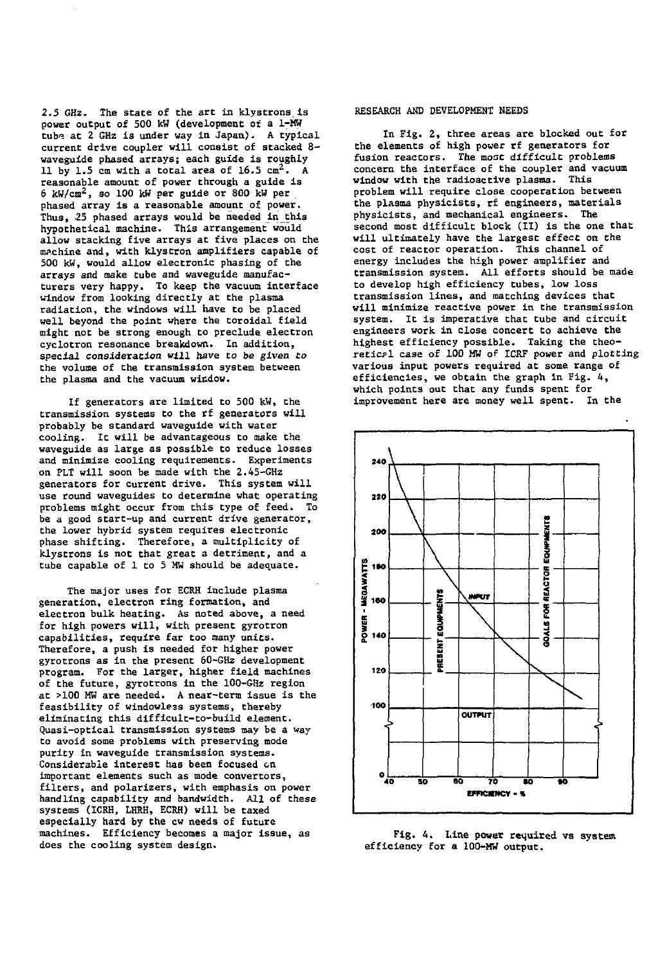2.5 GHz. The state of the art in klystrons is power output of 500 kW (development of a 1-MW tube at 2 GHz is under way in Japan). A typical current drive coupler will consist of stacked 8 waveguide phased arrays; each guide is roughly 11 by 1.5 cm with a total area of  $16.5 \text{ cm}^2$ . A reasonable amount of power through a guide is 6 kW/cm<sup>2</sup>, so 100 kW per guide or 800 kW per phased array is a reasonable amount of power. Thus, 25 phased arrays would be needed in this hypothetical machine. This arrangement would allow stacking five arrays at five places on the machine and, with klystron amplifiers capable of 500 kW, would allow electronic phasing of the arrays and make tube and waveguide manufacturers very happy. To keep the vacuum interface window from looking directly at the plasma radiation, the windows will have to be placed well beyond the point where the toroidal field might not be strong enough to preclude electron cyclotron resonance breakdown. In addition, special consideration will have to be given to the volume of the transmission system between the plasma and the vacuum window.

If generators are limited to 500 kW, the transmission systems to the rf generators will probably be standard waveguide with water cooling. It will be advantageous to make the waveguide as large as possible to reduce losses and minimize cooling requirements. Experiments on PLT will soon be made with the 2.45-GHz generators for current drive. This system will use round waveguides to determine what operating problems might occur from this type of feed. To be a good start-up and current drive generator, the lower hybrid system requires electronic phase shifting. Therefore, a multiplicity of klystrons is not that great a detriment, and a tube capable of 1 to 5 MW should be adequate.

The major uses for ECRH include plasma generation, electron ring formation, and electron bulk heating. As noted above, a need for high powers will, with present gyrotron capabilities, require far too many units. Therefore, a push is needed for higher power gyrotrons as in the present 60-GHz development program. For the larger, higher field machines of the future, gyrotrons in the 100-GHz region at >100 MW are needed. A near-term issue is the feasibility of windowless systems, thereby eliminating this difficult-to-build element. Quasi-optical transmission systems may be a way to avoid some problems with preserving mode purity in waveguide transmission systems. Considerable interest has been focused en important elements such as mode convertors, filters, and polarizers, with emphasis on power handling capability and bandwidth. All of these systems (ICRH, LHRH, ECRH) will be taxed especially hard by the cw needs of future machines. Efficiency becomes a major issue, as does the cooling system design.

## RESEARCH AND DEVELOPMENT NEEDS

In Fig. 2, three areas are blocked out for the elements of high power rf generators for fusion reactors. The moat difficult problems concern the interface of the coupler and vacuum window with the radioactive plasma. This problem will require close cooperation between the plasma physicists, rf engineers, materials physicists, and mechanical engineers. The second most difficult block (II) is the one that will ultimately have the largest effect on the cost of reactor operation. This channel of energy includes the high power amplifier and transmission system. All efforts should be made to develop high efficiency tubes, low loss transmission lines, and matching devices that will minimize reactive power in the transmission system. It is imperative that tube and circuit engineers work in close concert to achieve the highest efficiency possible. Taking the theoretical case of 100 MW of ICRF power and plotting various input powers required at some range of efficiencies, we obtain the graph in Fig. 4, which points out that any funds spent for improvement here are money well spent. In the



Fig. 4. Line power required vs system efficiency for a 100-MW output.